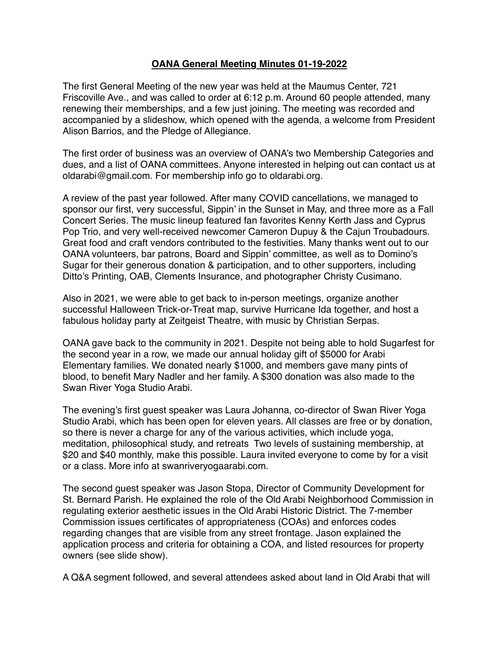## **OANA General Meeting Minutes 01-19-2022**

The first General Meeting of the new year was held at the Maumus Center, 721 Friscoville Ave., and was called to order at 6:12 p.m. Around 60 people attended, many renewing their memberships, and a few just joining. The meeting was recorded and accompanied by a slideshow, which opened with the agenda, a welcome from President Alison Barrios, and the Pledge of Allegiance.

The first order of business was an overview of OANA's two Membership Categories and dues, and a list of OANA committees. Anyone interested in helping out can contact us at [oldarabi@gmail.com](http://oldarabi@gmail.com). For membership info go to [oldarabi.org](https://www.oldarabi.org/membership).

A review of the past year followed. After many COVID cancellations, we managed to sponsor our first, very successful, Sippin' in the Sunset in May, and three more as a Fall Concert Series. The music lineup featured fan favorites Kenny Kerth Jass and Cyprus Pop Trio, and very well-received newcomer Cameron Dupuy & the Cajun Troubadours. Great food and craft vendors contributed to the festivities. Many thanks went out to our OANA volunteers, bar patrons, Board and Sippin' committee, as well as to Domino's Sugar for their generous donation & participation, and to other supporters, including Ditto's Printing, OAB, Clements Insurance, and photographer Christy Cusimano.

Also in 2021, we were able to get back to in-person meetings, organize another successful Halloween Trick-or-Treat map, survive Hurricane Ida together, and host a fabulous holiday party at Zeitgeist Theatre, with music by Christian Serpas.

OANA gave back to the community in 2021. Despite not being able to hold Sugarfest for the second year in a row, we made our annual holiday gift of \$5000 for Arabi Elementary families. We donated nearly \$1000, and members gave many pints of blood, to benefit Mary Nadler and her family. A \$300 donation was also made to the Swan River Yoga Studio Arabi.

The evening's first guest speaker was Laura Johanna, co-director of Swan River Yoga Studio Arabi, which has been open for eleven years. All classes are free or by donation, so there is never a charge for any of the various activities, which include yoga, meditation, philosophical study, and retreats Two levels of sustaining membership, at \$20 and \$40 monthly, make this possible. Laura invited everyone to come by for a visit or a class. More info at [swanriveryogaarabi.com](https://www.swanriveryogaarabi.com).

The second guest speaker was Jason Stopa, Director of Community Development for St. Bernard Parish. He explained the role of the Old Arabi Neighborhood Commission in regulating exterior aesthetic issues in the Old Arabi Historic District. The 7-member Commission issues certificates of appropriateness (COAs) and enforces codes regarding changes that are visible from any street frontage. Jason explained the application process and criteria for obtaining a COA, and listed resources for property owners (see slide show).

A Q&A segment followed, and several attendees asked about land in Old Arabi that will